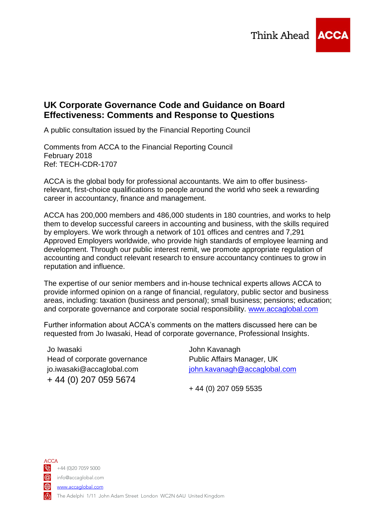

## **UK Corporate Governance Code and Guidance on Board Effectiveness: Comments and Response to Questions**

A public consultation issued by the Financial Reporting Council

Comments from ACCA to the Financial Reporting Council February 2018 Ref: TECH-CDR-1707

ACCA is the global body for professional accountants. We aim to offer businessrelevant, first-choice qualifications to people around the world who seek a rewarding career in accountancy, finance and management.

ACCA has 200,000 members and 486,000 students in 180 countries, and works to help them to develop successful careers in accounting and business, with the skills required by employers. We work through a network of 101 offices and centres and 7,291 Approved Employers worldwide, who provide high standards of employee learning and development. Through our public interest remit, we promote appropriate regulation of accounting and conduct relevant research to ensure accountancy continues to grow in reputation and influence.

The expertise of our senior members and in-house technical experts allows ACCA to provide informed opinion on a range of financial, regulatory, public sector and business areas, including: taxation (business and personal); small business; pensions; education; and corporate governance and corporate social responsibility. [www.accaglobal.com](http://www.accaglobal.com/) 

Further information about ACCA's comments on the matters discussed here can be requested from Jo Iwasaki, Head of corporate governance, Professional Insights.

Jo Iwasaki Head of corporate governance [jo.iwasaki@accaglobal.com](mailto:jo.iwasaki@accaglobal.com) + 44 (0) 207 059 5674

John Kavanagh Public Affairs Manager, UK [john.kavanagh@accaglobal.com](mailto:john.kavanagh@accaglobal.com)

+ 44 (0) 207 059 5535

ACCA  $\frac{1}{20}$  +44 (0)20 7059 5000 **a** info@accaglobal.com www.accaglobal.com **R** The Adelphi 1/11 John Adam Street London WC2N 6AU United Kingdom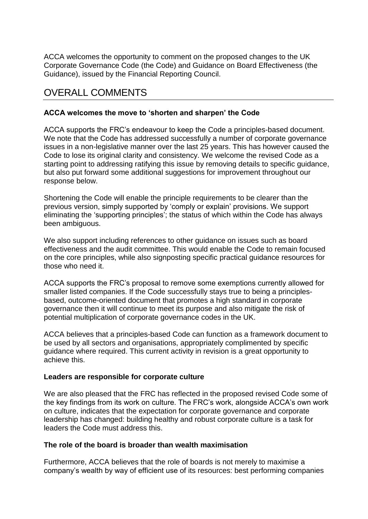ACCA welcomes the opportunity to comment on the proposed changes to the UK Corporate Governance Code (the Code) and Guidance on Board Effectiveness (the Guidance), issued by the Financial Reporting Council.

## OVERALL COMMENTS

## **ACCA welcomes the move to 'shorten and sharpen' the Code**

ACCA supports the FRC's endeavour to keep the Code a principles-based document. We note that the Code has addressed successfully a number of corporate governance issues in a non-legislative manner over the last 25 years. This has however caused the Code to lose its original clarity and consistency. We welcome the revised Code as a starting point to addressing ratifying this issue by removing details to specific guidance, but also put forward some additional suggestions for improvement throughout our response below.

Shortening the Code will enable the principle requirements to be clearer than the previous version, simply supported by 'comply or explain' provisions. We support eliminating the 'supporting principles'; the status of which within the Code has always been ambiguous.

We also support including references to other guidance on issues such as board effectiveness and the audit committee. This would enable the Code to remain focused on the core principles, while also signposting specific practical guidance resources for those who need it.

ACCA supports the FRC's proposal to remove some exemptions currently allowed for smaller listed companies. If the Code successfully stays true to being a principlesbased, outcome-oriented document that promotes a high standard in corporate governance then it will continue to meet its purpose and also mitigate the risk of potential multiplication of corporate governance codes in the UK.

ACCA believes that a principles-based Code can function as a framework document to be used by all sectors and organisations, appropriately complimented by specific guidance where required. This current activity in revision is a great opportunity to achieve this.

## **Leaders are responsible for corporate culture**

We are also pleased that the FRC has reflected in the proposed revised Code some of the key findings from its work on culture. The FRC's work, alongside ACCA's own work on culture, indicates that the expectation for corporate governance and corporate leadership has changed: building healthy and robust corporate culture is a task for leaders the Code must address this.

## **The role of the board is broader than wealth maximisation**

Furthermore, ACCA believes that the role of boards is not merely to maximise a company's wealth by way of efficient use of its resources: best performing companies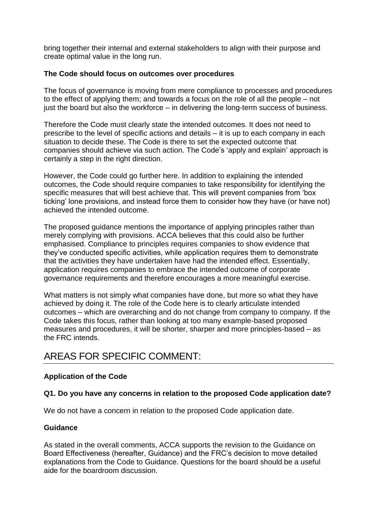bring together their internal and external stakeholders to align with their purpose and create optimal value in the long run.

## **The Code should focus on outcomes over procedures**

The focus of governance is moving from mere compliance to processes and procedures to the effect of applying them; and towards a focus on the role of all the people – not just the board but also the workforce – in delivering the long-term success of business.

Therefore the Code must clearly state the intended outcomes. It does not need to prescribe to the level of specific actions and details – it is up to each company in each situation to decide these. The Code is there to set the expected outcome that companies should achieve via such action. The Code's 'apply and explain' approach is certainly a step in the right direction.

However, the Code could go further here. In addition to explaining the intended outcomes, the Code should require companies to take responsibility for identifying the specific measures that will best achieve that. This will prevent companies from 'box ticking' lone provisions, and instead force them to consider how they have (or have not) achieved the intended outcome.

The proposed guidance mentions the importance of applying principles rather than merely complying with provisions. ACCA believes that this could also be further emphasised. Compliance to principles requires companies to show evidence that they've conducted specific activities, while application requires them to demonstrate that the activities they have undertaken have had the intended effect. Essentially, application requires companies to embrace the intended outcome of corporate governance requirements and therefore encourages a more meaningful exercise.

What matters is not simply what companies have done, but more so what they have achieved by doing it. The role of the Code here is to clearly articulate intended outcomes – which are overarching and do not change from company to company. If the Code takes this focus, rather than looking at too many example-based proposed measures and procedures, it will be shorter, sharper and more principles-based – as the FRC intends.

# AREAS FOR SPECIFIC COMMENT:

## **Application of the Code**

## **Q1. Do you have any concerns in relation to the proposed Code application date?**

We do not have a concern in relation to the proposed Code application date.

## **Guidance**

As stated in the overall comments, ACCA supports the revision to the Guidance on Board Effectiveness (hereafter, Guidance) and the FRC's decision to move detailed explanations from the Code to Guidance. Questions for the board should be a useful aide for the boardroom discussion.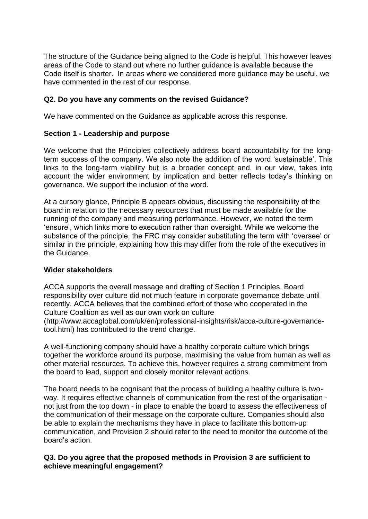The structure of the Guidance being aligned to the Code is helpful. This however leaves areas of the Code to stand out where no further guidance is available because the Code itself is shorter. In areas where we considered more guidance may be useful, we have commented in the rest of our response.

## **Q2. Do you have any comments on the revised Guidance?**

We have commented on the Guidance as applicable across this response.

## **Section 1 - Leadership and purpose**

We welcome that the Principles collectively address board accountability for the longterm success of the company. We also note the addition of the word 'sustainable'. This links to the long-term viability but is a broader concept and, in our view, takes into account the wider environment by implication and better reflects today's thinking on governance. We support the inclusion of the word.

At a cursory glance, Principle B appears obvious, discussing the responsibility of the board in relation to the necessary resources that must be made available for the running of the company and measuring performance. However, we noted the term 'ensure', which links more to execution rather than oversight. While we welcome the substance of the principle, the FRC may consider substituting the term with 'oversee' or similar in the principle, explaining how this may differ from the role of the executives in the Guidance.

## **Wider stakeholders**

ACCA supports the overall message and drafting of Section 1 Principles. Board responsibility over culture did not much feature in corporate governance debate until recently. ACCA believes that the combined effort of those who cooperated in the Culture Coalition as well as our own work on culture

(http://www.accaglobal.com/uk/en/professional-insights/risk/acca-culture-governancetool.html) has contributed to the trend change.

A well-functioning company should have a healthy corporate culture which brings together the workforce around its purpose, maximising the value from human as well as other material resources. To achieve this, however requires a strong commitment from the board to lead, support and closely monitor relevant actions.

The board needs to be cognisant that the process of building a healthy culture is twoway. It requires effective channels of communication from the rest of the organisation not just from the top down - in place to enable the board to assess the effectiveness of the communication of their message on the corporate culture. Companies should also be able to explain the mechanisms they have in place to facilitate this bottom-up communication, and Provision 2 should refer to the need to monitor the outcome of the board's action.

## **Q3. Do you agree that the proposed methods in Provision 3 are sufficient to achieve meaningful engagement?**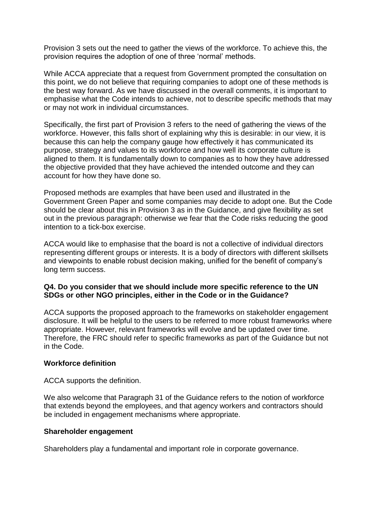Provision 3 sets out the need to gather the views of the workforce. To achieve this, the provision requires the adoption of one of three 'normal' methods.

While ACCA appreciate that a request from Government prompted the consultation on this point, we do not believe that requiring companies to adopt one of these methods is the best way forward. As we have discussed in the overall comments, it is important to emphasise what the Code intends to achieve, not to describe specific methods that may or may not work in individual circumstances.

Specifically, the first part of Provision 3 refers to the need of gathering the views of the workforce. However, this falls short of explaining why this is desirable: in our view, it is because this can help the company gauge how effectively it has communicated its purpose, strategy and values to its workforce and how well its corporate culture is aligned to them. It is fundamentally down to companies as to how they have addressed the objective provided that they have achieved the intended outcome and they can account for how they have done so.

Proposed methods are examples that have been used and illustrated in the Government Green Paper and some companies may decide to adopt one. But the Code should be clear about this in Provision 3 as in the Guidance, and give flexibility as set out in the previous paragraph: otherwise we fear that the Code risks reducing the good intention to a tick-box exercise.

ACCA would like to emphasise that the board is not a collective of individual directors representing different groups or interests. It is a body of directors with different skillsets and viewpoints to enable robust decision making, unified for the benefit of company's long term success.

## **Q4. Do you consider that we should include more specific reference to the UN SDGs or other NGO principles, either in the Code or in the Guidance?**

ACCA supports the proposed approach to the frameworks on stakeholder engagement disclosure. It will be helpful to the users to be referred to more robust frameworks where appropriate. However, relevant frameworks will evolve and be updated over time. Therefore, the FRC should refer to specific frameworks as part of the Guidance but not in the Code.

## **Workforce definition**

ACCA supports the definition.

We also welcome that Paragraph 31 of the Guidance refers to the notion of workforce that extends beyond the employees, and that agency workers and contractors should be included in engagement mechanisms where appropriate.

## **Shareholder engagement**

Shareholders play a fundamental and important role in corporate governance.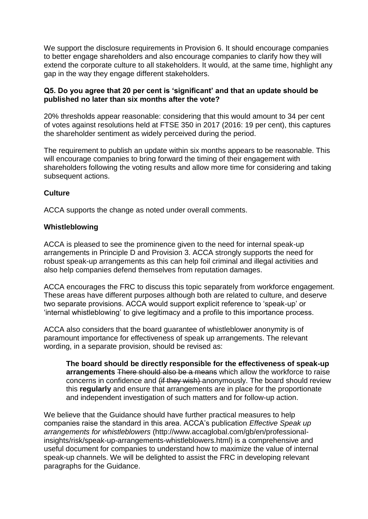We support the disclosure requirements in Provision 6. It should encourage companies to better engage shareholders and also encourage companies to clarify how they will extend the corporate culture to all stakeholders. It would, at the same time, highlight any gap in the way they engage different stakeholders.

## **Q5. Do you agree that 20 per cent is 'significant' and that an update should be published no later than six months after the vote?**

20% thresholds appear reasonable: considering that this would amount to 34 per cent of votes against resolutions held at FTSE 350 in 2017 (2016: 19 per cent), this captures the shareholder sentiment as widely perceived during the period.

The requirement to publish an update within six months appears to be reasonable. This will encourage companies to bring forward the timing of their engagement with shareholders following the voting results and allow more time for considering and taking subsequent actions.

## **Culture**

ACCA supports the change as noted under overall comments.

## **Whistleblowing**

ACCA is pleased to see the prominence given to the need for internal speak-up arrangements in Principle D and Provision 3. ACCA strongly supports the need for robust speak-up arrangements as this can help foil criminal and illegal activities and also help companies defend themselves from reputation damages.

ACCA encourages the FRC to discuss this topic separately from workforce engagement. These areas have different purposes although both are related to culture, and deserve two separate provisions. ACCA would support explicit reference to 'speak-up' or 'internal whistleblowing' to give legitimacy and a profile to this importance process.

ACCA also considers that the board guarantee of whistleblower anonymity is of paramount importance for effectiveness of speak up arrangements. The relevant wording, in a separate provision, should be revised as:

**The board should be directly responsible for the effectiveness of speak-up arrangements** There should also be a means which allow the workforce to raise concerns in confidence and (if they wish) anonymously. The board should review this **regularly** and ensure that arrangements are in place for the proportionate and independent investigation of such matters and for follow-up action.

We believe that the Guidance should have further practical measures to help companies raise the standard in this area. ACCA's publication *Effective Speak up arrangements for whistleblowers* (http://www.accaglobal.com/gb/en/professionalinsights/risk/speak-up-arrangements-whistleblowers.html) is a comprehensive and useful document for companies to understand how to maximize the value of internal speak-up channels. We will be delighted to assist the FRC in developing relevant paragraphs for the Guidance.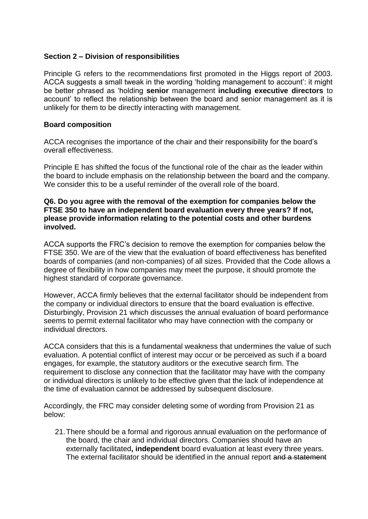## **Section 2 – Division of responsibilities**

Principle G refers to the recommendations first promoted in the Higgs report of 2003. ACCA suggests a small tweak in the wording 'holding management to account': it might be better phrased as 'holding **senior** management **including executive directors** to account' to reflect the relationship between the board and senior management as it is unlikely for them to be directly interacting with management.

## **Board composition**

ACCA recognises the importance of the chair and their responsibility for the board's overall effectiveness.

Principle E has shifted the focus of the functional role of the chair as the leader within the board to include emphasis on the relationship between the board and the company. We consider this to be a useful reminder of the overall role of the board.

#### **Q6. Do you agree with the removal of the exemption for companies below the FTSE 350 to have an independent board evaluation every three years? If not, please provide information relating to the potential costs and other burdens involved.**

ACCA supports the FRC's decision to remove the exemption for companies below the FTSE 350. We are of the view that the evaluation of board effectiveness has benefited boards of companies (and non-companies) of all sizes. Provided that the Code allows a degree of flexibility in how companies may meet the purpose, it should promote the highest standard of corporate governance.

However, ACCA firmly believes that the external facilitator should be independent from the company or individual directors to ensure that the board evaluation is effective. Disturbingly, Provision 21 which discusses the annual evaluation of board performance seems to permit external facilitator who may have connection with the company or individual directors.

ACCA considers that this is a fundamental weakness that undermines the value of such evaluation. A potential conflict of interest may occur or be perceived as such if a board engages, for example, the statutory auditors or the executive search firm. The requirement to disclose any connection that the facilitator may have with the company or individual directors is unlikely to be effective given that the lack of independence at the time of evaluation cannot be addressed by subsequent disclosure.

Accordingly, the FRC may consider deleting some of wording from Provision 21 as below:

21.There should be a formal and rigorous annual evaluation on the performance of the board, the chair and individual directors. Companies should have an externally facilitated**, independent** board evaluation at least every three years. The external facilitator should be identified in the annual report and a statement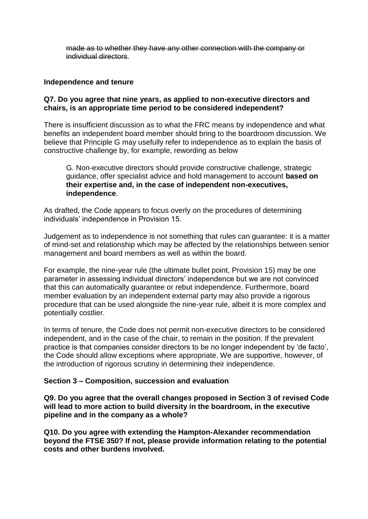made as to whether they have any other connection with the company or individual directors.

#### **Independence and tenure**

## **Q7. Do you agree that nine years, as applied to non-executive directors and chairs, is an appropriate time period to be considered independent?**

There is insufficient discussion as to what the FRC means by independence and what benefits an independent board member should bring to the boardroom discussion. We believe that Principle G may usefully refer to independence as to explain the basis of constructive challenge by, for example, rewording as below

G. Non-executive directors should provide constructive challenge, strategic guidance, offer specialist advice and hold management to account **based on their expertise and, in the case of independent non-executives, independence**.

As drafted, the Code appears to focus overly on the procedures of determining individuals' independence in Provision 15.

Judgement as to independence is not something that rules can guarantee: it is a matter of mind-set and relationship which may be affected by the relationships between senior management and board members as well as within the board.

For example, the nine-year rule (the ultimate bullet point, Provision 15) may be one parameter in assessing individual directors' independence but we are not convinced that this can automatically guarantee or rebut independence. Furthermore, board member evaluation by an independent external party may also provide a rigorous procedure that can be used alongside the nine-year rule, albeit it is more complex and potentially costlier.

In terms of tenure, the Code does not permit non-executive directors to be considered independent, and in the case of the chair, to remain in the position. If the prevalent practice is that companies consider directors to be no longer independent by 'de facto', the Code should allow exceptions where appropriate. We are supportive, however, of the introduction of rigorous scrutiny in determining their independence.

## **Section 3 – Composition, succession and evaluation**

**Q9. Do you agree that the overall changes proposed in Section 3 of revised Code will lead to more action to build diversity in the boardroom, in the executive pipeline and in the company as a whole?** 

**Q10. Do you agree with extending the Hampton-Alexander recommendation beyond the FTSE 350? If not, please provide information relating to the potential costs and other burdens involved.**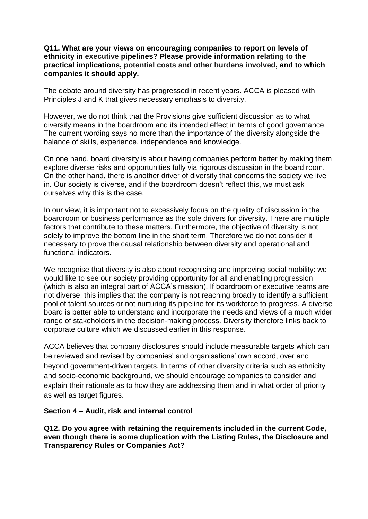## **Q11. What are your views on encouraging companies to report on levels of ethnicity in executive pipelines? Please provide information relating to the practical implications, potential costs and other burdens involved, and to which companies it should apply.**

The debate around diversity has progressed in recent years. ACCA is pleased with Principles J and K that gives necessary emphasis to diversity.

However, we do not think that the Provisions give sufficient discussion as to what diversity means in the boardroom and its intended effect in terms of good governance. The current wording says no more than the importance of the diversity alongside the balance of skills, experience, independence and knowledge.

On one hand, board diversity is about having companies perform better by making them explore diverse risks and opportunities fully via rigorous discussion in the board room. On the other hand, there is another driver of diversity that concerns the society we live in. Our society is diverse, and if the boardroom doesn't reflect this, we must ask ourselves why this is the case.

In our view, it is important not to excessively focus on the quality of discussion in the boardroom or business performance as the sole drivers for diversity. There are multiple factors that contribute to these matters. Furthermore, the objective of diversity is not solely to improve the bottom line in the short term. Therefore we do not consider it necessary to prove the causal relationship between diversity and operational and functional indicators.

We recognise that diversity is also about recognising and improving social mobility: we would like to see our society providing opportunity for all and enabling progression (which is also an integral part of ACCA's mission). If boardroom or executive teams are not diverse, this implies that the company is not reaching broadly to identify a sufficient pool of talent sources or not nurturing its pipeline for its workforce to progress. A diverse board is better able to understand and incorporate the needs and views of a much wider range of stakeholders in the decision-making process. Diversity therefore links back to corporate culture which we discussed earlier in this response.

ACCA believes that company disclosures should include measurable targets which can be reviewed and revised by companies' and organisations' own accord, over and beyond government-driven targets. In terms of other diversity criteria such as ethnicity and socio-economic background, we should encourage companies to consider and explain their rationale as to how they are addressing them and in what order of priority as well as target figures.

## **Section 4 – Audit, risk and internal control**

**Q12. Do you agree with retaining the requirements included in the current Code, even though there is some duplication with the Listing Rules, the Disclosure and Transparency Rules or Companies Act?**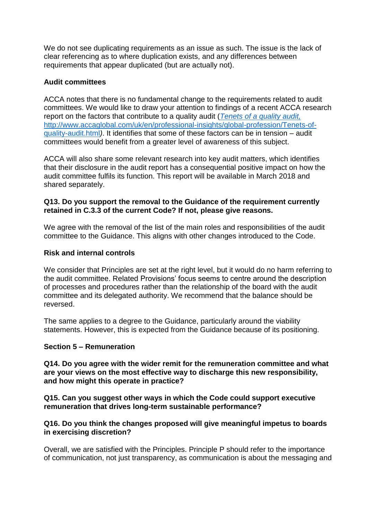We do not see duplicating requirements as an issue as such. The issue is the lack of clear referencing as to where duplication exists, and any differences between requirements that appear duplicated (but are actually not).

## **Audit committees**

ACCA notes that there is no fundamental change to the requirements related to audit committees. We would like to draw your attention to findings of a recent ACCA research report on the factors that contribute to a quality audit (*[Tenets of a quality audit,](http://www.accaglobal.com/uk/en/professional-insights/global-profession/Tenets-of-quality-audit.html)*  http://www.accaglobal.com/uk/en/professional-insights/global-profession/Tenets-ofquality-audit.html*)*. It identifies that some of these factors can be in tension – audit committees would benefit from a greater level of awareness of this subject.

ACCA will also share some relevant research into key audit matters, which identifies that their disclosure in the audit report has a consequential positive impact on how the audit committee fulfils its function. This report will be available in March 2018 and shared separately.

## **Q13. Do you support the removal to the Guidance of the requirement currently retained in C.3.3 of the current Code? If not, please give reasons.**

We agree with the removal of the list of the main roles and responsibilities of the audit committee to the Guidance. This aligns with other changes introduced to the Code.

## **Risk and internal controls**

We consider that Principles are set at the right level, but it would do no harm referring to the audit committee. Related Provisions' focus seems to centre around the description of processes and procedures rather than the relationship of the board with the audit committee and its delegated authority. We recommend that the balance should be reversed.

The same applies to a degree to the Guidance, particularly around the viability statements. However, this is expected from the Guidance because of its positioning.

## **Section 5 – Remuneration**

**Q14. Do you agree with the wider remit for the remuneration committee and what are your views on the most effective way to discharge this new responsibility, and how might this operate in practice?** 

**Q15. Can you suggest other ways in which the Code could support executive remuneration that drives long-term sustainable performance?** 

## **Q16. Do you think the changes proposed will give meaningful impetus to boards in exercising discretion?**

Overall, we are satisfied with the Principles. Principle P should refer to the importance of communication, not just transparency, as communication is about the messaging and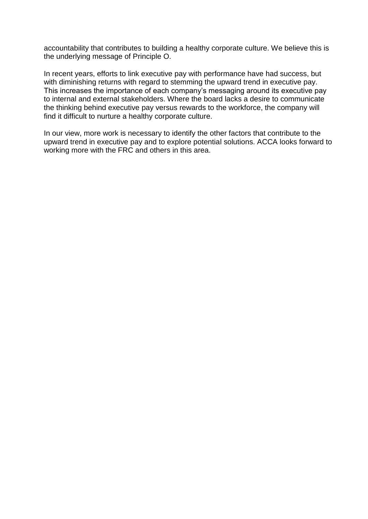accountability that contributes to building a healthy corporate culture. We believe this is the underlying message of Principle O.

In recent years, efforts to link executive pay with performance have had success, but with diminishing returns with regard to stemming the upward trend in executive pay. This increases the importance of each company's messaging around its executive pay to internal and external stakeholders. Where the board lacks a desire to communicate the thinking behind executive pay versus rewards to the workforce, the company will find it difficult to nurture a healthy corporate culture.

In our view, more work is necessary to identify the other factors that contribute to the upward trend in executive pay and to explore potential solutions. ACCA looks forward to working more with the FRC and others in this area.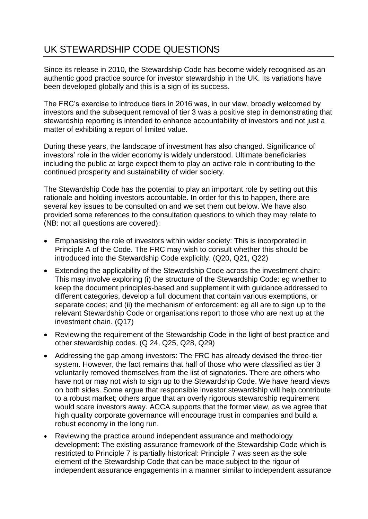# UK STEWARDSHIP CODE QUESTIONS

Since its release in 2010, the Stewardship Code has become widely recognised as an authentic good practice source for investor stewardship in the UK. Its variations have been developed globally and this is a sign of its success.

The FRC's exercise to introduce tiers in 2016 was, in our view, broadly welcomed by investors and the subsequent removal of tier 3 was a positive step in demonstrating that stewardship reporting is intended to enhance accountability of investors and not just a matter of exhibiting a report of limited value.

During these years, the landscape of investment has also changed. Significance of investors' role in the wider economy is widely understood. Ultimate beneficiaries including the public at large expect them to play an active role in contributing to the continued prosperity and sustainability of wider society.

The Stewardship Code has the potential to play an important role by setting out this rationale and holding investors accountable. In order for this to happen, there are several key issues to be consulted on and we set them out below. We have also provided some references to the consultation questions to which they may relate to (NB: not all questions are covered):

- Emphasising the role of investors within wider society: This is incorporated in Principle A of the Code. The FRC may wish to consult whether this should be introduced into the Stewardship Code explicitly. (Q20, Q21, Q22)
- Extending the applicability of the Stewardship Code across the investment chain: This may involve exploring (i) the structure of the Stewardship Code: eg whether to keep the document principles-based and supplement it with guidance addressed to different categories, develop a full document that contain various exemptions, or separate codes; and (ii) the mechanism of enforcement: eg all are to sign up to the relevant Stewardship Code or organisations report to those who are next up at the investment chain. (Q17)
- Reviewing the requirement of the Stewardship Code in the light of best practice and other stewardship codes. (Q 24, Q25, Q28, Q29)
- Addressing the gap among investors: The FRC has already devised the three-tier system. However, the fact remains that half of those who were classified as tier 3 voluntarily removed themselves from the list of signatories. There are others who have not or may not wish to sign up to the Stewardship Code. We have heard views on both sides. Some argue that responsible investor stewardship will help contribute to a robust market; others argue that an overly rigorous stewardship requirement would scare investors away. ACCA supports that the former view, as we agree that high quality corporate governance will encourage trust in companies and build a robust economy in the long run.
- Reviewing the practice around independent assurance and methodology development: The existing assurance framework of the Stewardship Code which is restricted to Principle 7 is partially historical: Principle 7 was seen as the sole element of the Stewardship Code that can be made subject to the rigour of independent assurance engagements in a manner similar to independent assurance